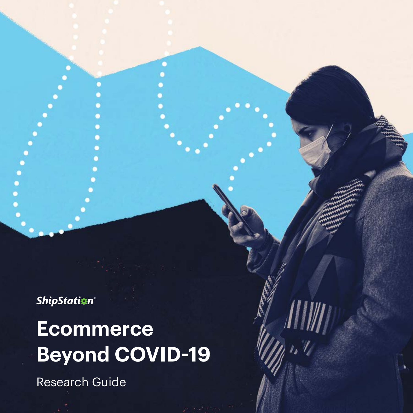**ShipStation®** 

## **Ecommerce Beyond COVID-19**

Research Guide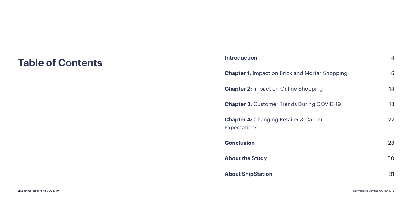# **Table of Contents Introduction**

**Chapter 1:** Impact on Brick and

**Chapter 2: Impact on Online Shopping** 

**Chapter 3: Customer Trends During Cover** 

**Chapter 4: Changing Retailer &** Expectations

**Conclusion** 

**About the Study**

**About ShipStation**

|                        | 4  |
|------------------------|----|
| <b>Mortar Shopping</b> | 6  |
| opping                 | 14 |
| uring COVID-19         | 18 |
| Carrier                | 22 |
|                        |    |
|                        | 28 |
|                        | 30 |
|                        | 31 |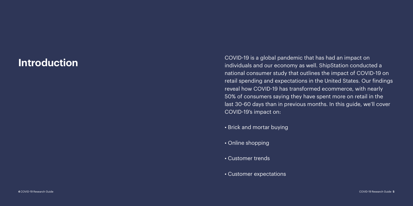### COVID-19 is a global pandemic that has had an impact on<br>individuals and our economy as well. ShipStation conducted a national consumer study that outlines the impact of COVID-19 on retail spending and expectations in the United States. Our findings reveal how COVID-19 has transformed ecommerce, with nearly 50% of consumers saying they have spent more on retail in the

last 30-60 days than in previous months. In this guide, we'll cover COVID-19's impact on:

- Brick and mortar buying
- Online shopping
- Customer trends
- Customer expectations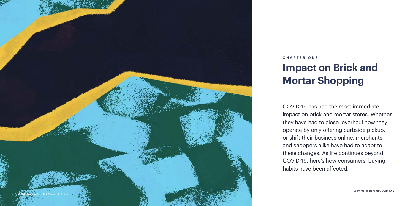

COVID-19 has had the most immediate impact on brick and mortar stores. Whether they have had to close, overhaul how they operate by only offering curbside pickup, or shift their business online, merchants and shoppers alike have had to adapt to these changes. As life continues beyond COVID-19, here's how consumers' buying habits have been affected.

### **Impact on Brick and Mortar Shopping** CHAPTER ONE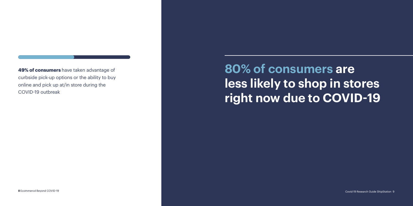**8** Ecommercd Beyond COVID-19 Covid-19 Research Guide ShipStation 9

**80% of consumers are less likely to shop in stores right now due to COVID-19** 

**49% of consumers** have taken advantage of curbside pick-up options or the ability to buy online and pick up at/in store during the COVID-19 outbreak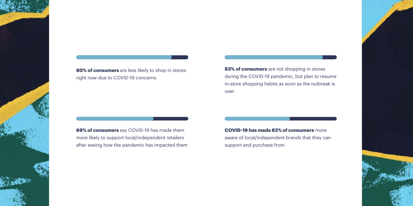**69% of consumers** say COVID-19 has made them more likely to support local/independent retailers after seeing how the pandemic has impacted them **COVID-19 has made 62% of consumers** more aware of local/independent brands that they can support and purchase from



**80% of consumers** are less likely to shop in stores right now due to COVID-19 concerns

**83% of consumers** are not shopping in stores during the COVID-19 pandemic, but plan to resume in-store shopping habits as soon as the outbreak is over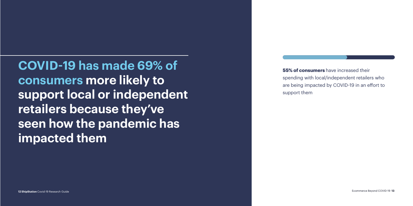**12 ShipStation** Covid-19 Research Guide Ecommerce Beyond COVID-19 **13**

**COVID-19 has made 69% of consumers more likely to support local or independent retailers because they've seen how the pandemic has impacted them**

**55% of consumers** have increased their spending with local/independent retailers who are being impacted by COVID-19 in an effort to support them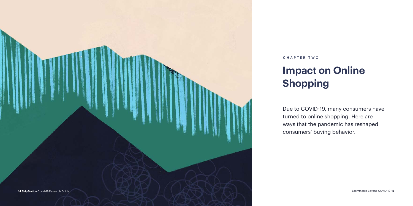

# **Impact on Online Shopping**

Due to COVID-19, many consumers have turned to online shopping. Here are ways that the pandemic has reshaped consumers' buying behavior.

### CHAPTER TWO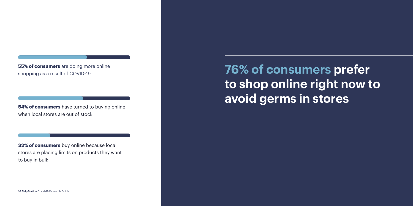**76% of consumers prefer to shop online right now to avoid germs in Stores** 

**55% of consumers** are doing more online shopping as a result of COVID-19

when local stores are out of stock

**32% of consumers** buy online because local stores are placing limits on products they want to buy in bulk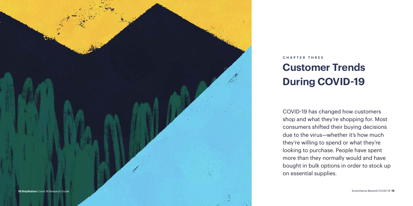

### **Customer Trends During COVID-19** CHAPTER THREE

COVID-19 has changed how customers shop and what they're shopping for. Most consumers shifted their buying decisions due to the virus—whether it's how much they're willing to spend or what they're looking to purchase. People have spent more than they normally would and have bought in bulk options in order to stock up on essential supplies.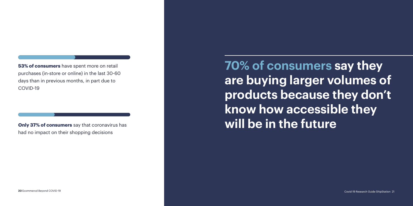**20** Ecommercd Beyond COVID-19 Covid-19 Research Guide ShipStation 21

**know how accessible they Only 37% of consumers** say that coronavirus has **will be in the future** 

# **70% of consumers say they are buying larger volumes of products because they don't**

**53% of consumers** have spent more on retail purchases (in-store or online) in the last 30-60 days than in previous months, in part due to COVID-19

had no impact on their shopping decisions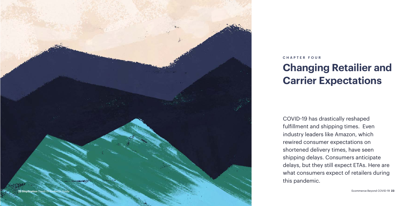

### **Changing Retailier and Carrier Expectations** CHAPTER FOUR

COVID-19 has drastically reshaped fulfillment and shipping times. Even industry leaders like Amazon, which rewired consumer expectations on shortened delivery times, have seen shipping delays. Consumers anticipate delays, but they still expect ETAs. Here are what consumers expect of retailers during this pandemic.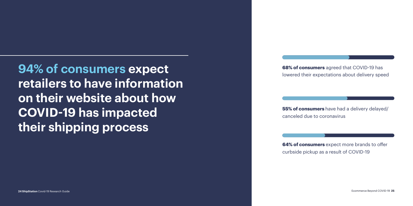**24 ShipStation** Covid-19 Research Guide Ecommerce Beyond COVID-19 **25**

**94% of consumers expect retailers to have information on their website about how COVID-19 has impacted their shipping process**

**68% of consumers** agreed that COVID-19 has lowered their expectations about delivery speed

**55% of consumers** have had a delivery delayed/ canceled due to coronavirus

**64% of consumers** expect more brands to offer curbside pickup as a result of COVID-19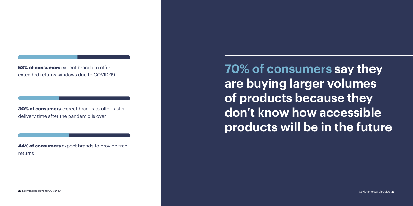**26** Ecommercd Beyond COVID-19 Covid-19 Research Guide **27**

**70% of consumers say they are buying larger volumes of products because they don't know how accessible products will be in the future**

**58% of consumers** expect brands to offer extended returns windows due to COVID-19

**30% of consumers** expect brands to offer faster delivery time after the pandemic is over

**44% of consumers** expect brands to provide free returns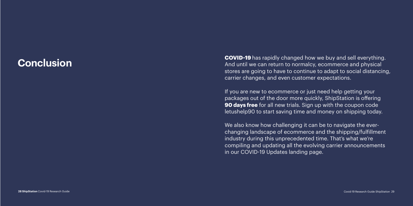**COVID-19** has rapidly changed how we buy and sell everything.<br>And until we can return to normalcy, ecommerce and physical stores are going to have to continue to adapt to social distancing, carrier changes, and even customer expectations.

> We also know how challenging it can be to navigate the everchanging landscape of ecommerce and the shipping/fulfillment industry during this unprecedented time. That's what we're compiling and updating all the evolving carrier announcements in our COVID-19 Updates landing page.

If you are new to ecommerce or just need help getting your packages out of the door more quickly, ShipStation is offering **90 days free** for all new trials. Sign up with the coupon code letushelp90 to start saving time and money on shipping today.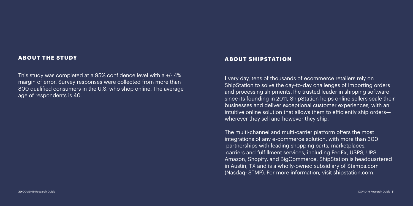### **ABOUT THE STUDY**

This study was completed at a 95% confidence level with a +/- 4% margin of error. Survey responses were collected from more than 800 qualified consumers in the U.S. who shop online. The average age of respondents is 40.

### **ABOUT SHIPSTATION**

Every day, tens of thousands of ecommerce retailers rely on ShipStation to solve the day-to-day challenges of importing orders and processing shipments.The trusted leader in shipping software since its founding in 2011, ShipStation helps online sellers scale their businesses and deliver exceptional customer experiences, with an intuitive online solution that allows them to efficiently ship orders wherever they sell and however they ship.

The multi-channel and multi-carrier platform offers the most integrations of any e-commerce solution, with more than 300 partnerships with leading shopping carts, marketplaces, carriers and fulfillment services, including FedEx, USPS, UPS, Amazon, Shopify, and BigCommerce. ShipStation is headquartered in Austin, TX and is a wholly-owned subsidiary of Stamps.com (Nasdaq: STMP). For more information, visit shipstation.com.